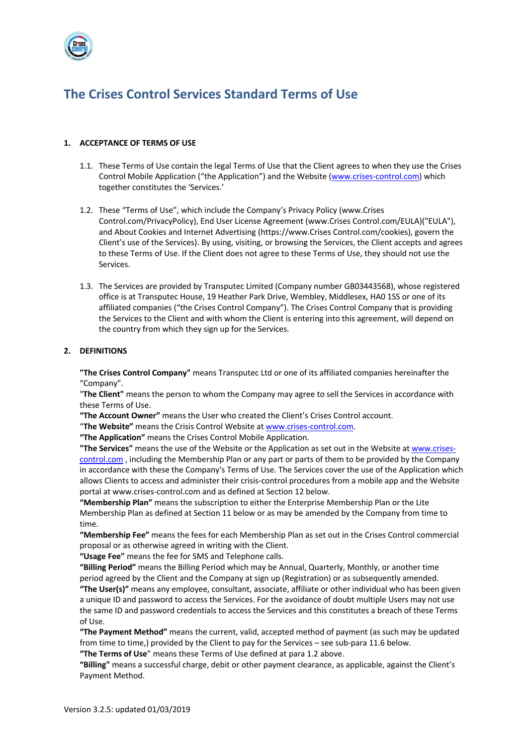

# **The Crises Control Services Standard Terms of Use**

# **1. ACCEPTANCE OF TERMS OF USE**

- 1.1. These Terms of Use contain the legal Terms of Use that the Client agrees to when they use the Crises Control Mobile Application ("the Application") and the Website (www.crises-control.com) which together constitutes the 'Services.'
- 1.2. These "Terms of Use", which include the Company's Privacy Policy (www.Crises Control.com/PrivacyPolicy), End User License Agreement (www.Crises Control.com/EULA)("EULA"), and About Cookies and Internet Advertising (https://www.Crises Control.com/cookies), govern the Client's use of the Services). By using, visiting, or browsing the Services, the Client accepts and agrees to these Terms of Use. If the Client does not agree to these Terms of Use, they should not use the Services.
- 1.3. The Services are provided by Transputec Limited (Company number GB03443568), whose registered office is at Transputec House, 19 Heather Park Drive, Wembley, Middlesex, HA0 1SS or one of its affiliated companies ("the Crises Control Company"). The Crises Control Company that is providing the Services to the Client and with whom the Client is entering into this agreement, will depend on the country from which they sign up for the Services.

# **2. DEFINITIONS**

**"The Crises Control Company"** means Transputec Ltd or one of its affiliated companies hereinafter the "Company".

"**The Client"** means the person to whom the Company may agree to sell the Services in accordance with these Terms of Use.

**"The Account Owner"** means the User who created the Client's Crises Control account.

"**The Website"** means the Crisis Control Website at www.crises-control.com.

**"The Application"** means the Crises Control Mobile Application.

**"The Services"** means the use of the Website or the Application as set out in the Website at www.crisescontrol.com , including the Membership Plan or any part or parts of them to be provided by the Company in accordance with these the Company's Terms of Use. The Services cover the use of the Application which allows Clients to access and administer their crisis-control procedures from a mobile app and the Website portal at www.crises-control.com and as defined at Section 12 below.

**"Membership Plan"** means the subscription to either the Enterprise Membership Plan or the Lite Membership Plan as defined at Section 11 below or as may be amended by the Company from time to time.

**"Membership Fee"** means the fees for each Membership Plan as set out in the Crises Control commercial proposal or as otherwise agreed in writing with the Client.

**"Usage Fee"** means the fee for SMS and Telephone calls.

**"Billing Period"** means the Billing Period which may be Annual, Quarterly, Monthly, or another time period agreed by the Client and the Company at sign up (Registration) or as subsequently amended. **"The User(s)"** means any employee, consultant, associate, affiliate or other individual who has been given a unique ID and password to access the Services. For the avoidance of doubt multiple Users may not use the same ID and password credentials to access the Services and this constitutes a breach of these Terms of Use.

**"The Payment Method"** means the current, valid, accepted method of payment (as such may be updated from time to time,) provided by the Client to pay for the Services – see sub-para 11.6 below.

**"The Terms of Use**" means these Terms of Use defined at para 1.2 above.

**"Billing"** means a successful charge, debit or other payment clearance, as applicable, against the Client's Payment Method.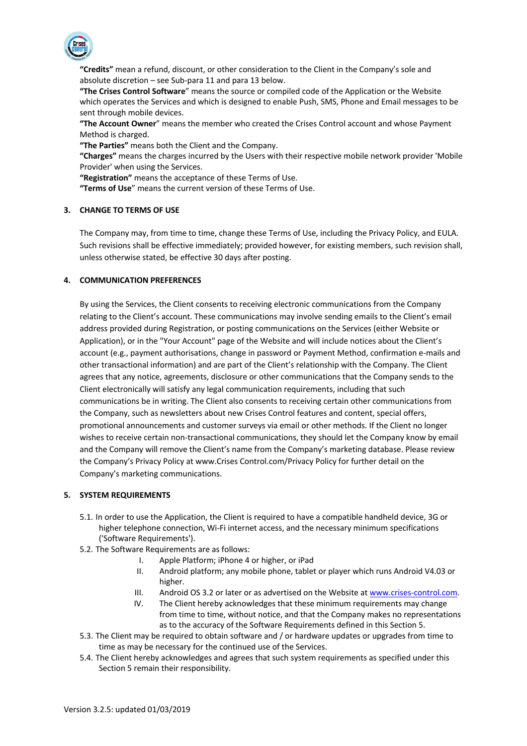

**"Credits"** mean a refund, discount, or other consideration to the Client in the Company's sole and absolute discretion – see Sub-para 11 and para 13 below.

**"The Crises Control Software**" means the source or compiled code of the Application or the Website which operates the Services and which is designed to enable Push, SMS, Phone and Email messages to be sent through mobile devices.

**"The Account Owner**" means the member who created the Crises Control account and whose Payment Method is charged.

**"The Parties"** means both the Client and the Company.

**"Charges"** means the charges incurred by the Users with their respective mobile network provider 'Mobile Provider' when using the Services.

**"Registration"** means the acceptance of these Terms of Use.

**"Terms of Use**" means the current version of these Terms of Use.

# **3. CHANGE TO TERMS OF USE**

The Company may, from time to time, change these Terms of Use, including the Privacy Policy, and EULA. Such revisions shall be effective immediately; provided however, for existing members, such revision shall, unless otherwise stated, be effective 30 days after posting.

#### **4. COMMUNICATION PREFERENCES**

By using the Services, the Client consents to receiving electronic communications from the Company relating to the Client's account. These communications may involve sending emails to the Client's email address provided during Registration, or posting communications on the Services (either Website or Application), or in the "Your Account" page of the Website and will include notices about the Client's account (e.g., payment authorisations, change in password or Payment Method, confirmation e-mails and other transactional information) and are part of the Client's relationship with the Company. The Client agrees that any notice, agreements, disclosure or other communications that the Company sends to the Client electronically will satisfy any legal communication requirements, including that such communications be in writing. The Client also consents to receiving certain other communications from the Company, such as newsletters about new Crises Control features and content, special offers, promotional announcements and customer surveys via email or other methods. If the Client no longer wishes to receive certain non-transactional communications, they should let the Company know by email and the Company will remove the Client's name from the Company's marketing database. Please review the Company's Privacy Policy at www.Crises Control.com/Privacy Policy for further detail on the Company's marketing communications.

# **5. SYSTEM REQUIREMENTS**

- 5.1. In order to use the Application, the Client is required to have a compatible handheld device, 3G or higher telephone connection, Wi-Fi internet access, and the necessary minimum specifications ('Software Requirements').
- 5.2. The Software Requirements are as follows:
	- I. Apple Platform; iPhone 4 or higher, or iPad
	- II. Android platform; any mobile phone, tablet or player which runs Android V4.03 or higher.
	- III. Android OS 3.2 or later or as advertised on the Website at www.crises-control.com.
	- IV. The Client hereby acknowledges that these minimum requirements may change from time to time, without notice, and that the Company makes no representations as to the accuracy of the Software Requirements defined in this Section 5.
- 5.3. The Client may be required to obtain software and / or hardware updates or upgrades from time to time as may be necessary for the continued use of the Services.
- 5.4. The Client hereby acknowledges and agrees that such system requirements as specified under this Section 5 remain their responsibility.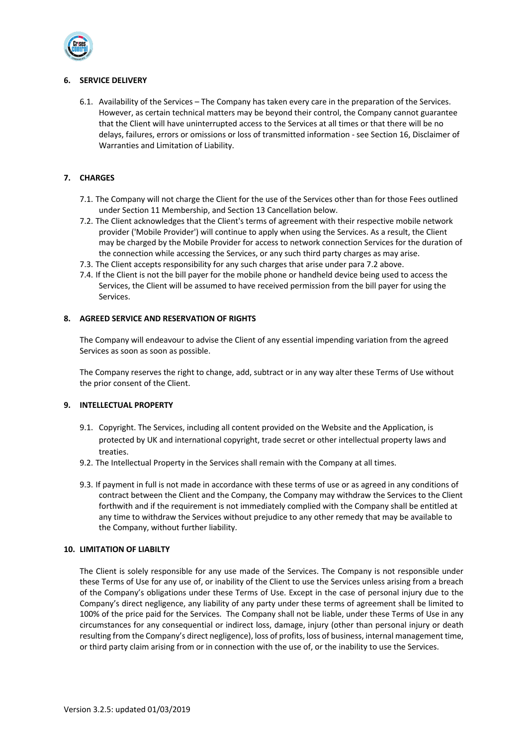

# **6. SERVICE DELIVERY**

6.1. Availability of the Services – The Company has taken every care in the preparation of the Services. However, as certain technical matters may be beyond their control, the Company cannot guarantee that the Client will have uninterrupted access to the Services at all times or that there will be no delays, failures, errors or omissions or loss of transmitted information - see Section 16, Disclaimer of Warranties and Limitation of Liability.

# **7. CHARGES**

- 7.1. The Company will not charge the Client for the use of the Services other than for those Fees outlined under Section 11 Membership, and Section 13 Cancellation below.
- 7.2. The Client acknowledges that the Client's terms of agreement with their respective mobile network provider ('Mobile Provider') will continue to apply when using the Services. As a result, the Client may be charged by the Mobile Provider for access to network connection Services for the duration of the connection while accessing the Services, or any such third party charges as may arise.
- 7.3. The Client accepts responsibility for any such charges that arise under para 7.2 above.
- 7.4. If the Client is not the bill payer for the mobile phone or handheld device being used to access the Services, the Client will be assumed to have received permission from the bill payer for using the Services.

# **8. AGREED SERVICE AND RESERVATION OF RIGHTS**

The Company will endeavour to advise the Client of any essential impending variation from the agreed Services as soon as soon as possible.

The Company reserves the right to change, add, subtract or in any way alter these Terms of Use without the prior consent of the Client.

# **9. INTELLECTUAL PROPERTY**

- 9.1. Copyright. The Services, including all content provided on the Website and the Application, is protected by UK and international copyright, trade secret or other intellectual property laws and treaties.
- 9.2. The Intellectual Property in the Services shall remain with the Company at all times.
- 9.3. If payment in full is not made in accordance with these terms of use or as agreed in any conditions of contract between the Client and the Company, the Company may withdraw the Services to the Client forthwith and if the requirement is not immediately complied with the Company shall be entitled at any time to withdraw the Services without prejudice to any other remedy that may be available to the Company, without further liability.

# **10. LIMITATION OF LIABILTY**

The Client is solely responsible for any use made of the Services. The Company is not responsible under these Terms of Use for any use of, or inability of the Client to use the Services unless arising from a breach of the Company's obligations under these Terms of Use. Except in the case of personal injury due to the Company's direct negligence, any liability of any party under these terms of agreement shall be limited to 100% of the price paid for the Services. The Company shall not be liable, under these Terms of Use in any circumstances for any consequential or indirect loss, damage, injury (other than personal injury or death resulting from the Company's direct negligence), loss of profits, loss of business, internal management time, or third party claim arising from or in connection with the use of, or the inability to use the Services.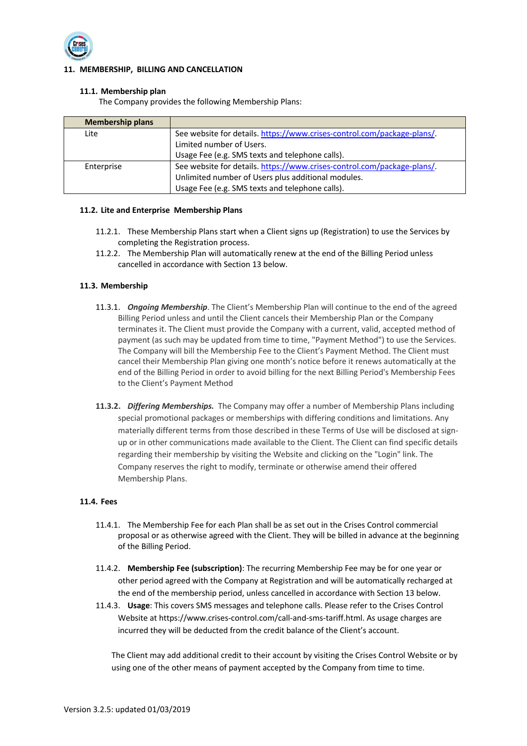

# **11. MEMBERSHIP, BILLING AND CANCELLATION**

# **11.1. Membership plan**

The Company provides the following Membership Plans:

| <b>Membership plans</b> |                                                                         |
|-------------------------|-------------------------------------------------------------------------|
| Lite                    | See website for details. https://www.crises-control.com/package-plans/. |
|                         | Limited number of Users.                                                |
|                         | Usage Fee (e.g. SMS texts and telephone calls).                         |
| Enterprise              | See website for details. https://www.crises-control.com/package-plans/. |
|                         | Unlimited number of Users plus additional modules.                      |
|                         | Usage Fee (e.g. SMS texts and telephone calls).                         |

# **11.2. Lite and Enterprise Membership Plans**

- 11.2.1. These Membership Plans start when a Client signs up (Registration) to use the Services by completing the Registration process.
- 11.2.2. The Membership Plan will automatically renew at the end of the Billing Period unless cancelled in accordance with Section 13 below.

# **11.3. Membership**

- 11.3.1. *Ongoing Membership*. The Client's Membership Plan will continue to the end of the agreed Billing Period unless and until the Client cancels their Membership Plan or the Company terminates it. The Client must provide the Company with a current, valid, accepted method of payment (as such may be updated from time to time, "Payment Method") to use the Services. The Company will bill the Membership Fee to the Client's Payment Method. The Client must cancel their Membership Plan giving one month's notice before it renews automatically at the end of the Billing Period in order to avoid billing for the next Billing Period's Membership Fees to the Client's Payment Method
- **11.3.2.** *Differing Memberships.* The Company may offer a number of Membership Plans including special promotional packages or memberships with differing conditions and limitations. Any materially different terms from those described in these Terms of Use will be disclosed at signup or in other communications made available to the Client. The Client can find specific details regarding their membership by visiting the Website and clicking on the "Login" link. The Company reserves the right to modify, terminate or otherwise amend their offered Membership Plans.

# **11.4. Fees**

- 11.4.1. The Membership Fee for each Plan shall be as set out in the Crises Control commercial proposal or as otherwise agreed with the Client. They will be billed in advance at the beginning of the Billing Period.
- 11.4.2. **Membership Fee (subscription)**: The recurring Membership Fee may be for one year or other period agreed with the Company at Registration and will be automatically recharged at the end of the membership period, unless cancelled in accordance with Section 13 below.
- 11.4.3. **Usage**: This covers SMS messages and telephone calls. Please refer to the Crises Control Website at https://www.crises-control.com/call-and-sms-tariff.html. As usage charges are incurred they will be deducted from the credit balance of the Client's account.

The Client may add additional credit to their account by visiting the Crises Control Website or by using one of the other means of payment accepted by the Company from time to time.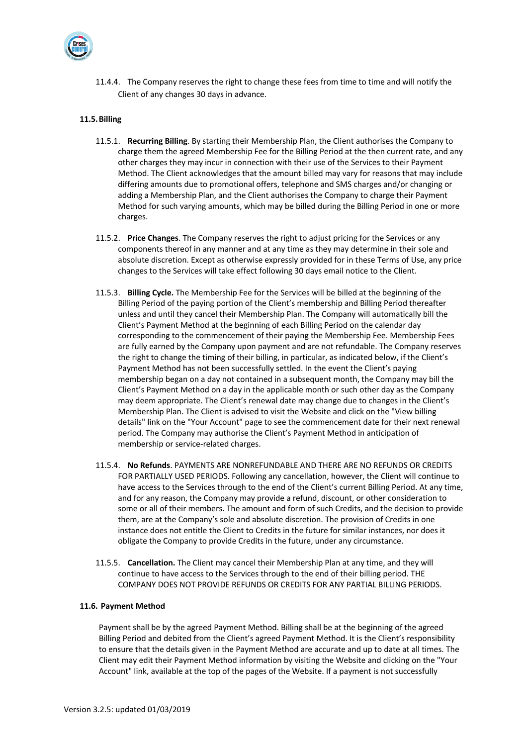

11.4.4. The Company reserves the right to change these fees from time to time and will notify the Client of any changes 30 days in advance.

# **11.5.Billing**

- 11.5.1. **Recurring Billing**. By starting their Membership Plan, the Client authorises the Company to charge them the agreed Membership Fee for the Billing Period at the then current rate, and any other charges they may incur in connection with their use of the Services to their Payment Method. The Client acknowledges that the amount billed may vary for reasons that may include differing amounts due to promotional offers, telephone and SMS charges and/or changing or adding a Membership Plan, and the Client authorises the Company to charge their Payment Method for such varying amounts, which may be billed during the Billing Period in one or more charges.
- 11.5.2. **Price Changes**. The Company reserves the right to adjust pricing for the Services or any components thereof in any manner and at any time as they may determine in their sole and absolute discretion. Except as otherwise expressly provided for in these Terms of Use, any price changes to the Services will take effect following 30 days email notice to the Client.
- 11.5.3. **Billing Cycle.** The Membership Fee for the Services will be billed at the beginning of the Billing Period of the paying portion of the Client's membership and Billing Period thereafter unless and until they cancel their Membership Plan. The Company will automatically bill the Client's Payment Method at the beginning of each Billing Period on the calendar day corresponding to the commencement of their paying the Membership Fee. Membership Fees are fully earned by the Company upon payment and are not refundable. The Company reserves the right to change the timing of their billing, in particular, as indicated below, if the Client's Payment Method has not been successfully settled. In the event the Client's paying membership began on a day not contained in a subsequent month, the Company may bill the Client's Payment Method on a day in the applicable month or such other day as the Company may deem appropriate. The Client's renewal date may change due to changes in the Client's Membership Plan. The Client is advised to visit the Website and click on the "View billing details" link on the "Your Account" page to see the commencement date for their next renewal period. The Company may authorise the Client's Payment Method in anticipation of membership or service-related charges.
- 11.5.4. **No Refunds**. PAYMENTS ARE NONREFUNDABLE AND THERE ARE NO REFUNDS OR CREDITS FOR PARTIALLY USED PERIODS. Following any cancellation, however, the Client will continue to have access to the Services through to the end of the Client's current Billing Period. At any time, and for any reason, the Company may provide a refund, discount, or other consideration to some or all of their members. The amount and form of such Credits, and the decision to provide them, are at the Company's sole and absolute discretion. The provision of Credits in one instance does not entitle the Client to Credits in the future for similar instances, nor does it obligate the Company to provide Credits in the future, under any circumstance.
- 11.5.5. **Cancellation.** The Client may cancel their Membership Plan at any time, and they will continue to have access to the Services through to the end of their billing period. THE COMPANY DOES NOT PROVIDE REFUNDS OR CREDITS FOR ANY PARTIAL BILLING PERIODS.

#### **11.6. Payment Method**

Payment shall be by the agreed Payment Method. Billing shall be at the beginning of the agreed Billing Period and debited from the Client's agreed Payment Method. It is the Client's responsibility to ensure that the details given in the Payment Method are accurate and up to date at all times. The Client may edit their Payment Method information by visiting the Website and clicking on the "Your Account" link, available at the top of the pages of the Website. If a payment is not successfully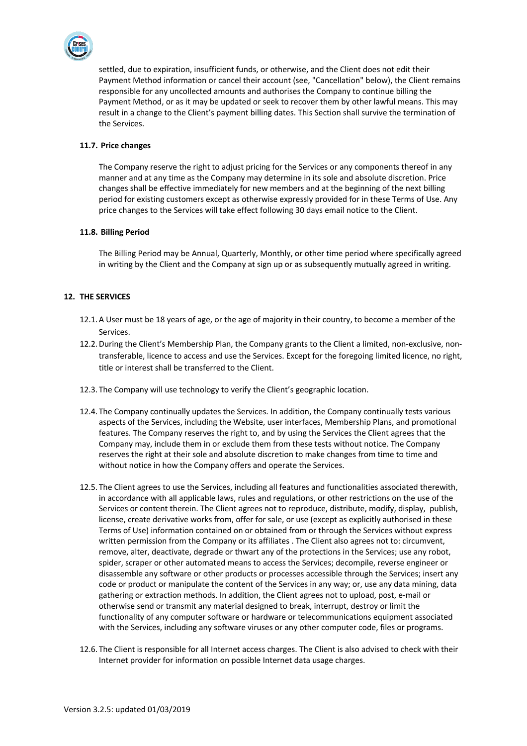

settled, due to expiration, insufficient funds, or otherwise, and the Client does not edit their Payment Method information or cancel their account (see, "Cancellation" below), the Client remains responsible for any uncollected amounts and authorises the Company to continue billing the Payment Method, or as it may be updated or seek to recover them by other lawful means. This may result in a change to the Client's payment billing dates. This Section shall survive the termination of the Services.

# **11.7. Price changes**

The Company reserve the right to adjust pricing for the Services or any components thereof in any manner and at any time as the Company may determine in its sole and absolute discretion. Price changes shall be effective immediately for new members and at the beginning of the next billing period for existing customers except as otherwise expressly provided for in these Terms of Use. Any price changes to the Services will take effect following 30 days email notice to the Client.

# **11.8. Billing Period**

The Billing Period may be Annual, Quarterly, Monthly, or other time period where specifically agreed in writing by the Client and the Company at sign up or as subsequently mutually agreed in writing.

# **12. THE SERVICES**

- 12.1.A User must be 18 years of age, or the age of majority in their country, to become a member of the Services.
- 12.2.During the Client's Membership Plan, the Company grants to the Client a limited, non-exclusive, nontransferable, licence to access and use the Services. Except for the foregoing limited licence, no right, title or interest shall be transferred to the Client.
- 12.3. The Company will use technology to verify the Client's geographic location.
- 12.4. The Company continually updates the Services. In addition, the Company continually tests various aspects of the Services, including the Website, user interfaces, Membership Plans, and promotional features. The Company reserves the right to, and by using the Services the Client agrees that the Company may, include them in or exclude them from these tests without notice. The Company reserves the right at their sole and absolute discretion to make changes from time to time and without notice in how the Company offers and operate the Services.
- 12.5. The Client agrees to use the Services, including all features and functionalities associated therewith, in accordance with all applicable laws, rules and regulations, or other restrictions on the use of the Services or content therein. The Client agrees not to reproduce, distribute, modify, display, publish, license, create derivative works from, offer for sale, or use (except as explicitly authorised in these Terms of Use) information contained on or obtained from or through the Services without express written permission from the Company or its affiliates . The Client also agrees not to: circumvent, remove, alter, deactivate, degrade or thwart any of the protections in the Services; use any robot, spider, scraper or other automated means to access the Services; decompile, reverse engineer or disassemble any software or other products or processes accessible through the Services; insert any code or product or manipulate the content of the Services in any way; or, use any data mining, data gathering or extraction methods. In addition, the Client agrees not to upload, post, e-mail or otherwise send or transmit any material designed to break, interrupt, destroy or limit the functionality of any computer software or hardware or telecommunications equipment associated with the Services, including any software viruses or any other computer code, files or programs.
- 12.6. The Client is responsible for all Internet access charges. The Client is also advised to check with their Internet provider for information on possible Internet data usage charges.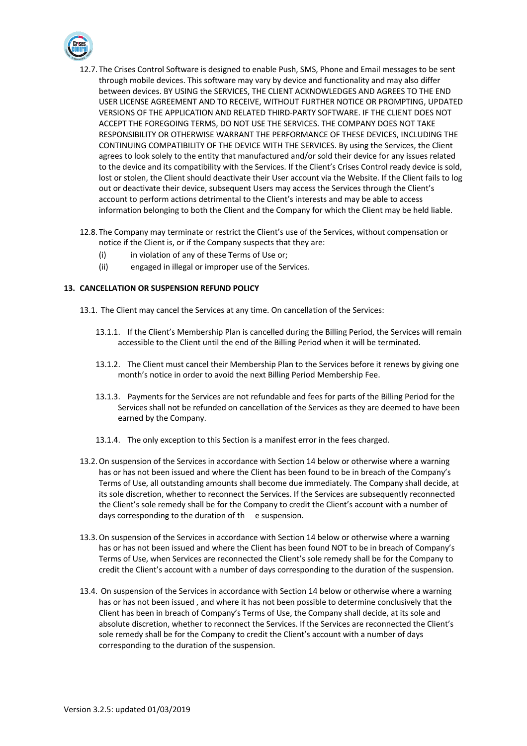

- 12.7. The Crises Control Software is designed to enable Push, SMS, Phone and Email messages to be sent through mobile devices. This software may vary by device and functionality and may also differ between devices. BY USING the SERVICES, THE CLIENT ACKNOWLEDGES AND AGREES TO THE END USER LICENSE AGREEMENT AND TO RECEIVE, WITHOUT FURTHER NOTICE OR PROMPTING, UPDATED VERSIONS OF THE APPLICATION AND RELATED THIRD-PARTY SOFTWARE. IF THE CLIENT DOES NOT ACCEPT THE FOREGOING TERMS, DO NOT USE THE SERVICES. THE COMPANY DOES NOT TAKE RESPONSIBILITY OR OTHERWISE WARRANT THE PERFORMANCE OF THESE DEVICES, INCLUDING THE CONTINUING COMPATIBILITY OF THE DEVICE WITH THE SERVICES. By using the Services, the Client agrees to look solely to the entity that manufactured and/or sold their device for any issues related to the device and its compatibility with the Services. If the Client's Crises Control ready device is sold, lost or stolen, the Client should deactivate their User account via the Website. If the Client fails to log out or deactivate their device, subsequent Users may access the Services through the Client's account to perform actions detrimental to the Client's interests and may be able to access information belonging to both the Client and the Company for which the Client may be held liable.
- 12.8. The Company may terminate or restrict the Client's use of the Services, without compensation or notice if the Client is, or if the Company suspects that they are:
	- (i) in violation of any of these Terms of Use or;
	- (ii) engaged in illegal or improper use of the Services.

# **13. CANCELLATION OR SUSPENSION REFUND POLICY**

- 13.1. The Client may cancel the Services at any time. On cancellation of the Services:
	- 13.1.1. If the Client's Membership Plan is cancelled during the Billing Period, the Services will remain accessible to the Client until the end of the Billing Period when it will be terminated.
	- 13.1.2. The Client must cancel their Membership Plan to the Services before it renews by giving one month's notice in order to avoid the next Billing Period Membership Fee.
	- 13.1.3. Payments for the Services are not refundable and fees for parts of the Billing Period for the Services shall not be refunded on cancellation of the Services as they are deemed to have been earned by the Company.
	- 13.1.4. The only exception to this Section is a manifest error in the fees charged.
- 13.2.On suspension of the Services in accordance with Section 14 below or otherwise where a warning has or has not been issued and where the Client has been found to be in breach of the Company's Terms of Use, all outstanding amounts shall become due immediately. The Company shall decide, at its sole discretion, whether to reconnect the Services. If the Services are subsequently reconnected the Client's sole remedy shall be for the Company to credit the Client's account with a number of days corresponding to the duration of th e suspension.
- 13.3.On suspension of the Services in accordance with Section 14 below or otherwise where a warning has or has not been issued and where the Client has been found NOT to be in breach of Company's Terms of Use, when Services are reconnected the Client's sole remedy shall be for the Company to credit the Client's account with a number of days corresponding to the duration of the suspension.
- 13.4. On suspension of the Services in accordance with Section 14 below or otherwise where a warning has or has not been issued , and where it has not been possible to determine conclusively that the Client has been in breach of Company's Terms of Use, the Company shall decide, at its sole and absolute discretion, whether to reconnect the Services. If the Services are reconnected the Client's sole remedy shall be for the Company to credit the Client's account with a number of days corresponding to the duration of the suspension.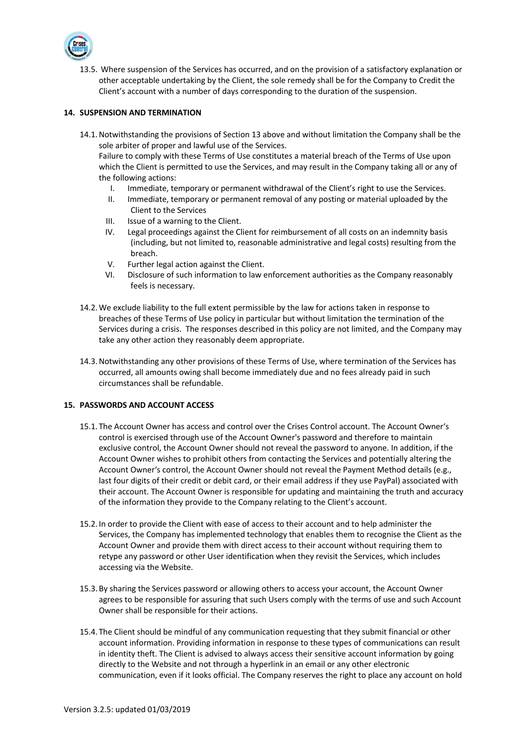

13.5. Where suspension of the Services has occurred, and on the provision of a satisfactory explanation or other acceptable undertaking by the Client, the sole remedy shall be for the Company to Credit the Client's account with a number of days corresponding to the duration of the suspension.

# **14. SUSPENSION AND TERMINATION**

14.1.Notwithstanding the provisions of Section 13 above and without limitation the Company shall be the sole arbiter of proper and lawful use of the Services.

Failure to comply with these Terms of Use constitutes a material breach of the Terms of Use upon which the Client is permitted to use the Services, and may result in the Company taking all or any of the following actions:

- I. Immediate, temporary or permanent withdrawal of the Client's right to use the Services.
- II. Immediate, temporary or permanent removal of any posting or material uploaded by the Client to the Services
- III. Issue of a warning to the Client.
- IV. Legal proceedings against the Client for reimbursement of all costs on an indemnity basis (including, but not limited to, reasonable administrative and legal costs) resulting from the breach.
- V. Further legal action against the Client.
- VI. Disclosure of such information to law enforcement authorities as the Company reasonably feels is necessary.
- 14.2.We exclude liability to the full extent permissible by the law for actions taken in response to breaches of these Terms of Use policy in particular but without limitation the termination of the Services during a crisis. The responses described in this policy are not limited, and the Company may take any other action they reasonably deem appropriate.
- 14.3.Notwithstanding any other provisions of these Terms of Use, where termination of the Services has occurred, all amounts owing shall become immediately due and no fees already paid in such circumstances shall be refundable.

# **15. PASSWORDS AND ACCOUNT ACCESS**

- 15.1. The Account Owner has access and control over the Crises Control account. The Account Owner's control is exercised through use of the Account Owner's password and therefore to maintain exclusive control, the Account Owner should not reveal the password to anyone. In addition, if the Account Owner wishes to prohibit others from contacting the Services and potentially altering the Account Owner's control, the Account Owner should not reveal the Payment Method details (e.g., last four digits of their credit or debit card, or their email address if they use PayPal) associated with their account. The Account Owner is responsible for updating and maintaining the truth and accuracy of the information they provide to the Company relating to the Client's account.
- 15.2. In order to provide the Client with ease of access to their account and to help administer the Services, the Company has implemented technology that enables them to recognise the Client as the Account Owner and provide them with direct access to their account without requiring them to retype any password or other User identification when they revisit the Services, which includes accessing via the Website.
- 15.3.By sharing the Services password or allowing others to access your account, the Account Owner agrees to be responsible for assuring that such Users comply with the terms of use and such Account Owner shall be responsible for their actions.
- 15.4. The Client should be mindful of any communication requesting that they submit financial or other account information. Providing information in response to these types of communications can result in identity theft. The Client is advised to always access their sensitive account information by going directly to the Website and not through a hyperlink in an email or any other electronic communication, even if it looks official. The Company reserves the right to place any account on hold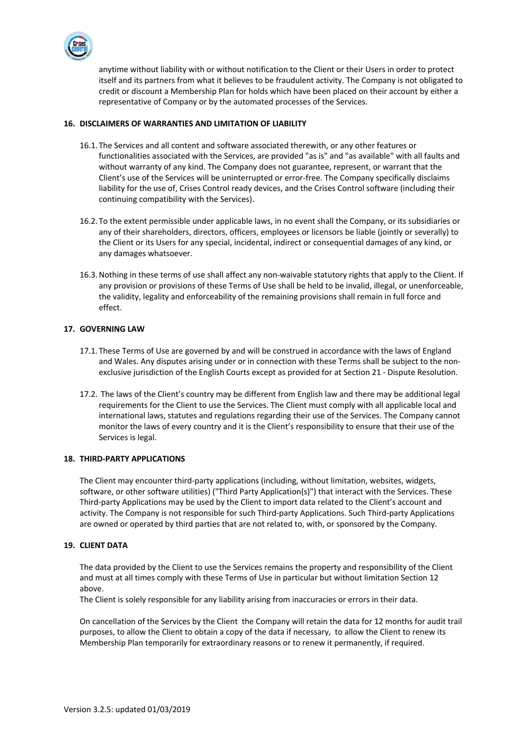

anytime without liability with or without notification to the Client or their Users in order to protect itself and its partners from what it believes to be fraudulent activity. The Company is not obligated to credit or discount a Membership Plan for holds which have been placed on their account by either a representative of Company or by the automated processes of the Services.

# **16. DISCLAIMERS OF WARRANTIES AND LIMITATION OF LIABILITY**

- 16.1. The Services and all content and software associated therewith, or any other features or functionalities associated with the Services, are provided "as is" and "as available" with all faults and without warranty of any kind. The Company does not guarantee, represent, or warrant that the Client's use of the Services will be uninterrupted or error-free. The Company specifically disclaims liability for the use of, Crises Control ready devices, and the Crises Control software (including their continuing compatibility with the Services).
- 16.2. To the extent permissible under applicable laws, in no event shall the Company, or its subsidiaries or any of their shareholders, directors, officers, employees or licensors be liable (jointly or severally) to the Client or its Users for any special, incidental, indirect or consequential damages of any kind, or any damages whatsoever.
- 16.3.Nothing in these terms of use shall affect any non-waivable statutory rights that apply to the Client. If any provision or provisions of these Terms of Use shall be held to be invalid, illegal, or unenforceable, the validity, legality and enforceability of the remaining provisions shall remain in full force and effect.

# **17. GOVERNING LAW**

- 17.1. These Terms of Use are governed by and will be construed in accordance with the laws of England and Wales. Any disputes arising under or in connection with these Terms shall be subject to the nonexclusive jurisdiction of the English Courts except as provided for at Section 21 - Dispute Resolution.
- 17.2. The laws of the Client's country may be different from English law and there may be additional legal requirements for the Client to use the Services. The Client must comply with all applicable local and international laws, statutes and regulations regarding their use of the Services. The Company cannot monitor the laws of every country and it is the Client's responsibility to ensure that their use of the Services is legal.

# **18. THIRD-PARTY APPLICATIONS**

The Client may encounter third-party applications (including, without limitation, websites, widgets, software, or other software utilities) ("Third Party Application(s)") that interact with the Services. These Third-party Applications may be used by the Client to import data related to the Client's account and activity. The Company is not responsible for such Third-party Applications. Such Third-party Applications are owned or operated by third parties that are not related to, with, or sponsored by the Company.

# **19. CLIENT DATA**

The data provided by the Client to use the Services remains the property and responsibility of the Client and must at all times comply with these Terms of Use in particular but without limitation Section 12 above.

The Client is solely responsible for any liability arising from inaccuracies or errors in their data.

On cancellation of the Services by the Client the Company will retain the data for 12 months for audit trail purposes, to allow the Client to obtain a copy of the data if necessary, to allow the Client to renew its Membership Plan temporarily for extraordinary reasons or to renew it permanently, if required.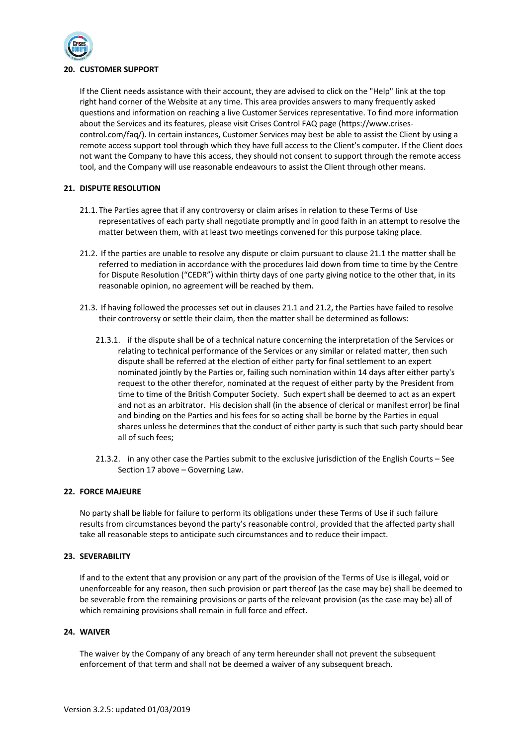

# **20. CUSTOMER SUPPORT**

If the Client needs assistance with their account, they are advised to click on the "Help" link at the top right hand corner of the Website at any time. This area provides answers to many frequently asked questions and information on reaching a live Customer Services representative. To find more information about the Services and its features, please visit Crises Control FAQ page (https://www.crisescontrol.com/faq/). In certain instances, Customer Services may best be able to assist the Client by using a remote access support tool through which they have full access to the Client's computer. If the Client does not want the Company to have this access, they should not consent to support through the remote access tool, and the Company will use reasonable endeavours to assist the Client through other means.

# **21. DISPUTE RESOLUTION**

- 21.1. The Parties agree that if any controversy or claim arises in relation to these Terms of Use representatives of each party shall negotiate promptly and in good faith in an attempt to resolve the matter between them, with at least two meetings convened for this purpose taking place.
- 21.2. If the parties are unable to resolve any dispute or claim pursuant to clause 21.1 the matter shall be referred to mediation in accordance with the procedures laid down from time to time by the Centre for Dispute Resolution ("CEDR") within thirty days of one party giving notice to the other that, in its reasonable opinion, no agreement will be reached by them.
- 21.3. If having followed the processes set out in clauses 21.1 and 21.2, the Parties have failed to resolve their controversy or settle their claim, then the matter shall be determined as follows:
	- 21.3.1. if the dispute shall be of a technical nature concerning the interpretation of the Services or relating to technical performance of the Services or any similar or related matter, then such dispute shall be referred at the election of either party for final settlement to an expert nominated jointly by the Parties or, failing such nomination within 14 days after either party's request to the other therefor, nominated at the request of either party by the President from time to time of the British Computer Society. Such expert shall be deemed to act as an expert and not as an arbitrator. His decision shall (in the absence of clerical or manifest error) be final and binding on the Parties and his fees for so acting shall be borne by the Parties in equal shares unless he determines that the conduct of either party is such that such party should bear all of such fees;
	- 21.3.2. in any other case the Parties submit to the exclusive jurisdiction of the English Courts See Section 17 above – Governing Law.

#### **22. FORCE MAJEURE**

No party shall be liable for failure to perform its obligations under these Terms of Use if such failure results from circumstances beyond the party's reasonable control, provided that the affected party shall take all reasonable steps to anticipate such circumstances and to reduce their impact.

#### **23. SEVERABILITY**

If and to the extent that any provision or any part of the provision of the Terms of Use is illegal, void or unenforceable for any reason, then such provision or part thereof (as the case may be) shall be deemed to be severable from the remaining provisions or parts of the relevant provision (as the case may be) all of which remaining provisions shall remain in full force and effect.

#### **24. WAIVER**

The waiver by the Company of any breach of any term hereunder shall not prevent the subsequent enforcement of that term and shall not be deemed a waiver of any subsequent breach.